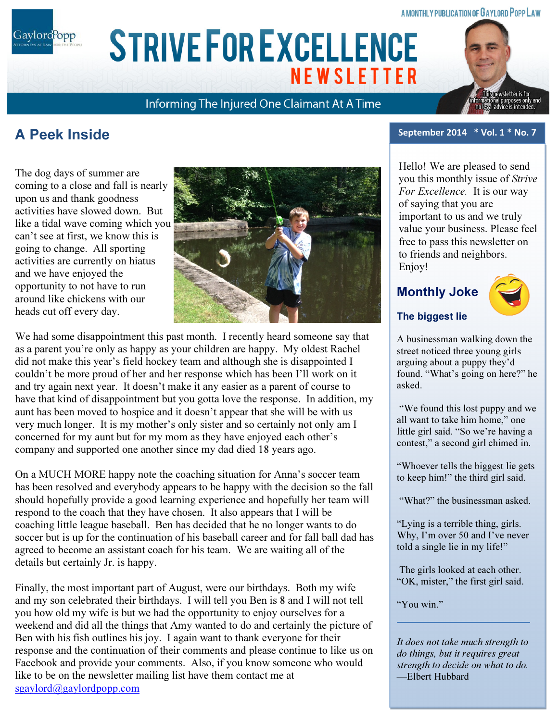### A MONTHLY PUBLICATION OF GAYLORD POPP LAW

ARIAL 15 POINT BOLD CAPS FOR CO. NAME Gaylord<sup>P</sup>opp

# **STRIVE FOR EXCELLENCE NEWSLETTER**

Informing The Injured One Claimant At A Time



# A Peek Inside

The dog days of summer are coming to a close and fall is nearly upon us and thank goodness activities have slowed down. But like a tidal wave coming which you can't see at first, we know this is going to change. All sporting activities are currently on hiatus and we have enjoyed the opportunity to not have to run around like chickens with our heads cut off every day.



We had some disappointment this past month. I recently heard someone say that as a parent you're only as happy as your children are happy. My oldest Rachel did not make this year's field hockey team and although she is disappointed I couldn't be more proud of her and her response which has been I'll work on it and try again next year. It doesn't make it any easier as a parent of course to have that kind of disappointment but you gotta love the response. In addition, my aunt has been moved to hospice and it doesn't appear that she will be with us very much longer. It is my mother's only sister and so certainly not only am I concerned for my aunt but for my mom as they have enjoyed each other's company and supported one another since my dad died 18 years ago.

On a MUCH MORE happy note the coaching situation for Anna's soccer team has been resolved and everybody appears to be happy with the decision so the fall should hopefully provide a good learning experience and hopefully her team will respond to the coach that they have chosen. It also appears that I will be coaching little league baseball. Ben has decided that he no longer wants to do soccer but is up for the continuation of his baseball career and for fall ball dad has agreed to become an assistant coach for his team. We are waiting all of the details but certainly Jr. is happy.

Finally, the most important part of August, were our birthdays. Both my wife and my son celebrated their birthdays. I will tell you Ben is 8 and I will not tell you how old my wife is but we had the opportunity to enjoy ourselves for a weekend and did all the things that Amy wanted to do and certainly the picture of Ben with his fish outlines his joy. I again want to thank everyone for their response and the continuation of their comments and please continue to like us on Facebook and provide your comments. Also, if you know someone who would like to be on the newsletter mailing list have them contact me at sgaylord@gaylordpopp.com

#### September 2014 \* Vol. 1 \* No. 7

Hello! We are pleased to send you this monthly issue of Strive For Excellence. It is our way of saying that you are important to us and we truly value your business. Please feel free to pass this newsletter on to friends and neighbors. Enjoy!

# Monthly Joke



### The biggest lie

A businessman walking down the street noticed three young girls arguing about a puppy they'd found. "What's going on here?" he asked.

 "We found this lost puppy and we all want to take him home," one little girl said. "So we're having a contest," a second girl chimed in.

"Whoever tells the biggest lie gets to keep him!" the third girl said.

"What?" the businessman asked.

"Lying is a terrible thing, girls. Why, I'm over 50 and I've never told a single lie in my life!"

 The girls looked at each other. "OK, mister," the first girl said.

"You win."

It does not take much strength to do things, but it requires great strength to decide on what to do. —Elbert Hubbard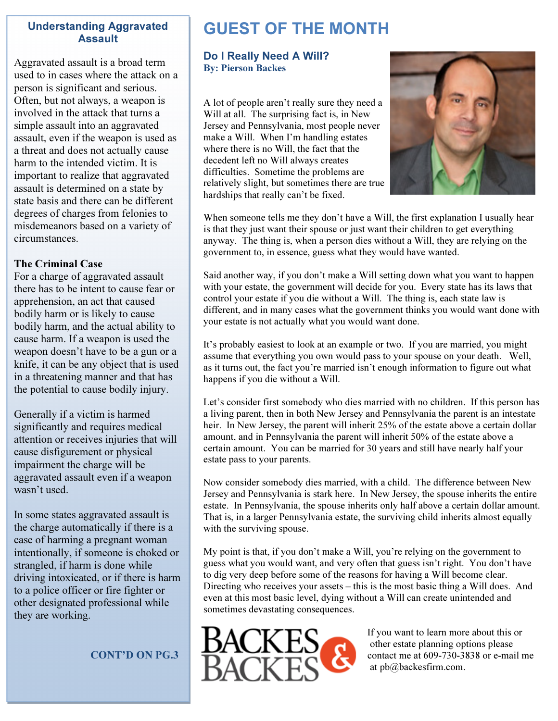# Understanding Aggravated Assault

Aggravated assault is a broad term used to in cases where the attack on a person is significant and serious. Often, but not always, a weapon is involved in the attack that turns a simple assault into an aggravated assault, even if the weapon is used as a threat and does not actually cause harm to the intended victim. It is important to realize that aggravated assault is determined on a state by state basis and there can be different degrees of charges from felonies to misdemeanors based on a variety of circumstances.

### The Criminal Case

For a charge of aggravated assault there has to be intent to cause fear or apprehension, an act that caused bodily harm or is likely to cause bodily harm, and the actual ability to cause harm. If a weapon is used the weapon doesn't have to be a gun or a knife, it can be any object that is used in a threatening manner and that has the potential to cause bodily injury.

Generally if a victim is harmed significantly and requires medical attention or receives injuries that will cause disfigurement or physical impairment the charge will be aggravated assault even if a weapon wasn't used.

In some states aggravated assault is the charge automatically if there is a case of harming a pregnant woman intentionally, if someone is choked or strangled, if harm is done while driving intoxicated, or if there is harm to a police officer or fire fighter or other designated professional while they are working.

CONT'D ON PG.3

# GUEST OF THE MONTH

# Do I Really Need A Will? By: Pierson Backes

A lot of people aren't really sure they need a Will at all. The surprising fact is, in New Jersey and Pennsylvania, most people never make a Will. When I'm handling estates where there is no Will, the fact that the decedent left no Will always creates difficulties. Sometime the problems are relatively slight, but sometimes there are true hardships that really can't be fixed.



When someone tells me they don't have a Will, the first explanation I usually hear is that they just want their spouse or just want their children to get everything anyway. The thing is, when a person dies without a Will, they are relying on the government to, in essence, guess what they would have wanted.

Said another way, if you don't make a Will setting down what you want to happen with your estate, the government will decide for you. Every state has its laws that control your estate if you die without a Will. The thing is, each state law is different, and in many cases what the government thinks you would want done with your estate is not actually what you would want done.

It's probably easiest to look at an example or two. If you are married, you might assume that everything you own would pass to your spouse on your death. Well, as it turns out, the fact you're married isn't enough information to figure out what happens if you die without a Will.

Let's consider first somebody who dies married with no children. If this person has a living parent, then in both New Jersey and Pennsylvania the parent is an intestate heir. In New Jersey, the parent will inherit 25% of the estate above a certain dollar amount, and in Pennsylvania the parent will inherit 50% of the estate above a certain amount. You can be married for 30 years and still have nearly half your estate pass to your parents.

Now consider somebody dies married, with a child. The difference between New Jersey and Pennsylvania is stark here. In New Jersey, the spouse inherits the entire estate. In Pennsylvania, the spouse inherits only half above a certain dollar amount. That is, in a larger Pennsylvania estate, the surviving child inherits almost equally with the surviving spouse.

My point is that, if you don't make a Will, you're relying on the government to guess what you would want, and very often that guess isn't right. You don't have to dig very deep before some of the reasons for having a Will become clear. Directing who receives your assets – this is the most basic thing a Will does. And even at this most basic level, dying without a Will can create unintended and sometimes devastating consequences.



If you want to learn more about this or other estate planning options please contact me at 609-730-3838 or e-mail me at pb@backesfirm.com.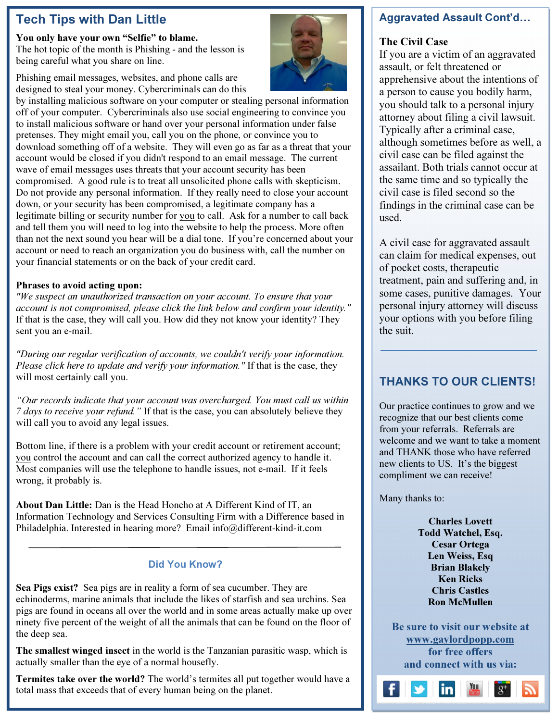# Tech Tips with Dan Little

You only have your own "Selfie" to blame. The hot topic of the month is Phishing - and the lesson is being careful what you share on line.

Phishing email messages, websites, and phone calls are designed to steal your money. Cybercriminals can do this

by installing malicious software on your computer or stealing personal information off of your computer. Cybercriminals also use social engineering to convince you to install malicious software or hand over your personal information under false pretenses. They might email you, call you on the phone, or convince you to download something off of a website. They will even go as far as a threat that your account would be closed if you didn't respond to an email message. The current wave of email messages uses threats that your account security has been compromised. A good rule is to treat all unsolicited phone calls with skepticism. Do not provide any personal information. If they really need to close your account down, or your security has been compromised, a legitimate company has a legitimate billing or security number for you to call. Ask for a number to call back and tell them you will need to log into the website to help the process. More often than not the next sound you hear will be a dial tone. If you're concerned about your account or need to reach an organization you do business with, call the number on your financial statements or on the back of your credit card.

# Phrases to avoid acting upon:

"We suspect an unauthorized transaction on your account. To ensure that your account is not compromised, please click the link below and confirm your identity." If that is the case, they will call you. How did they not know your identity? They sent you an e-mail.

"During our regular verification of accounts, we couldn't verify your information. Please click here to update and verify your information." If that is the case, they will most certainly call you.

"Our records indicate that your account was overcharged. You must call us within 7 days to receive your refund." If that is the case, you can absolutely believe they will call you to avoid any legal issues.

Bottom line, if there is a problem with your credit account or retirement account; you control the account and can call the correct authorized agency to handle it. Most companies will use the telephone to handle issues, not e-mail. If it feels wrong, it probably is.

About Dan Little: Dan is the Head Honcho at A Different Kind of IT, an Information Technology and Services Consulting Firm with a Difference based in Philadelphia. Interested in hearing more? Email info@different-kind-it.com

# Did You Know?

Sea Pigs exist? Sea pigs are in reality a form of sea cucumber. They are echinoderms, marine animals that include the likes of starfish and sea urchins. Sea pigs are found in oceans all over the world and in some areas actually make up over ninety five percent of the weight of all the animals that can be found on the floor of the deep sea.

The smallest winged insect in the world is the Tanzanian parasitic wasp, which is actually smaller than the eye of a normal housefly.

Termites take over the world? The world's termites all put together would have a total mass that exceeds that of every human being on the planet.

# Aggravated Assault Cont'd

# The Civil Case

If you are a victim of an aggravated assault, or felt threatened or apprehensive about the intentions of a person to cause you bodily harm, you should talk to a personal injury attorney about filing a civil lawsuit. Typically after a criminal case, although sometimes before as well, a civil case can be filed against the assailant. Both trials cannot occur at the same time and so typically the civil case is filed second so the findings in the criminal case can be used.

A civil case for aggravated assault can claim for medical expenses, out of pocket costs, therapeutic treatment, pain and suffering and, in some cases, punitive damages. Your personal injury attorney will discuss your options with you before filing the suit.

# THANKS TO OUR CLIENTS!

Our practice continues to grow and we recognize that our best clients come from your referrals. Referrals are welcome and we want to take a moment and THANK those who have referred new clients to US. It's the biggest compliment we can receive!

Many thanks to:

Charles Lovett Todd Watchel, Esq. Cesar Ortega Len Weiss, Esq Brian Blakely Ken Ricks Chris Castles Ron McMullen

Be sure to visit our website at www.gaylordpopp.com for free offers and connect with us via: